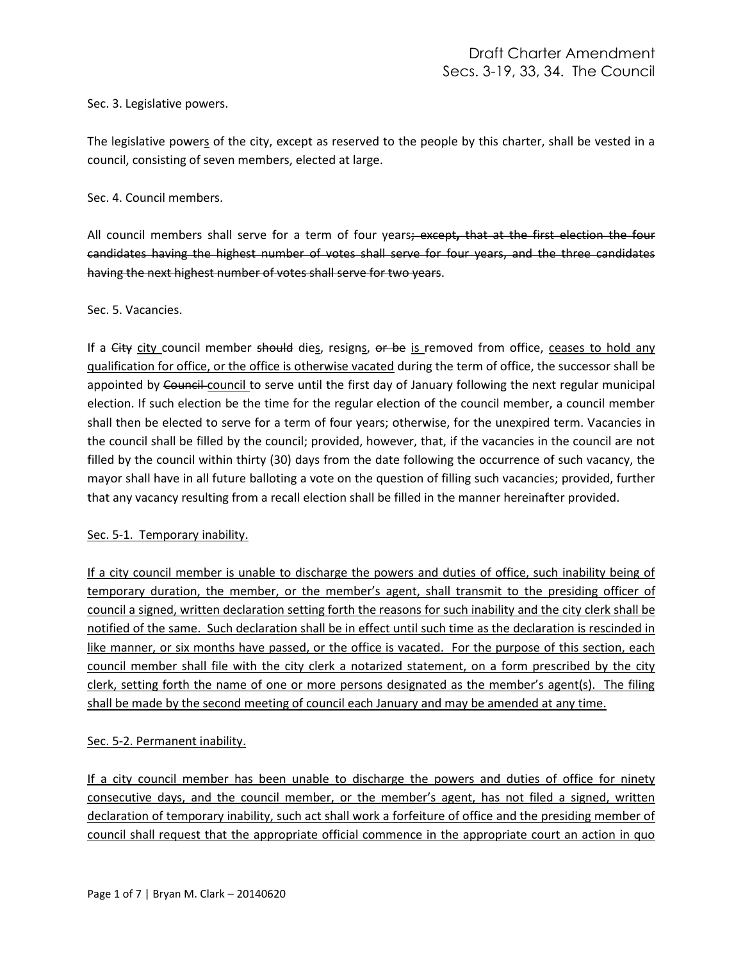Sec. 3. Legislative powers.

The legislative powers of the city, except as reserved to the people by this charter, shall be vested in a council, consisting of seven members, elected at large.

Sec. 4. Council members.

All council members shall serve for a term of four years; except**,** that at the first election the four candidates having the highest number of votes shall serve for four years, and the three candidates having the next highest number of votes shall serve for two years.

Sec. 5. Vacancies.

If a City city council member should dies, resigns, or be is removed from office, ceases to hold any qualification for office, or the office is otherwise vacated during the term of office, the successor shall be appointed by Council council to serve until the first day of January following the next regular municipal election. If such election be the time for the regular election of the council member, a council member shall then be elected to serve for a term of four years; otherwise, for the unexpired term. Vacancies in the council shall be filled by the council; provided, however, that, if the vacancies in the council are not filled by the council within thirty (30) days from the date following the occurrence of such vacancy, the mayor shall have in all future balloting a vote on the question of filling such vacancies; provided, further that any vacancy resulting from a recall election shall be filled in the manner hereinafter provided.

## Sec. 5-1. Temporary inability.

If a city council member is unable to discharge the powers and duties of office, such inability being of temporary duration, the member, or the member's agent, shall transmit to the presiding officer of council a signed, written declaration setting forth the reasons for such inability and the city clerk shall be notified of the same. Such declaration shall be in effect until such time as the declaration is rescinded in like manner, or six months have passed, or the office is vacated. For the purpose of this section, each council member shall file with the city clerk a notarized statement, on a form prescribed by the city clerk, setting forth the name of one or more persons designated as the member's agent(s). The filing shall be made by the second meeting of council each January and may be amended at any time.

## Sec. 5-2. Permanent inability.

If a city council member has been unable to discharge the powers and duties of office for ninety consecutive days, and the council member, or the member's agent, has not filed a signed, written declaration of temporary inability, such act shall work a forfeiture of office and the presiding member of council shall request that the appropriate official commence in the appropriate court an action in quo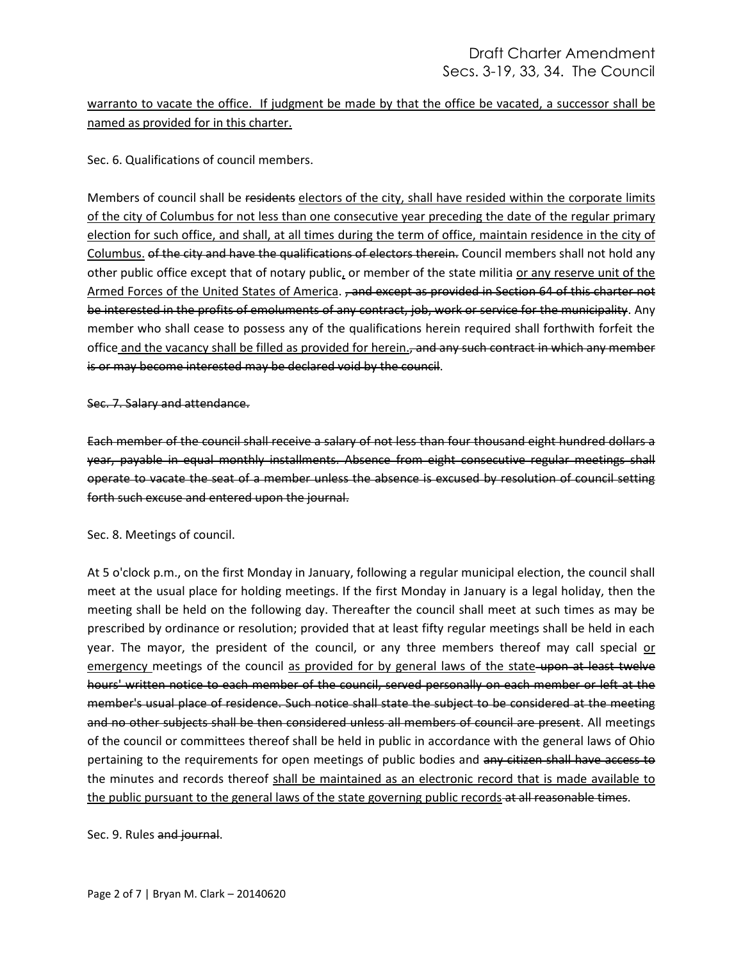warranto to vacate the office. If judgment be made by that the office be vacated, a successor shall be named as provided for in this charter.

Sec. 6. Qualifications of council members.

Members of council shall be residents electors of the city, shall have resided within the corporate limits of the city of Columbus for not less than one consecutive year preceding the date of the regular primary election for such office, and shall, at all times during the term of office, maintain residence in the city of Columbus. of the city and have the qualifications of electors therein. Council members shall not hold any other public office except that of notary public, or member of the state militia or any reserve unit of the Armed Forces of the United States of America. , and except as provided in Section 64 of this charter not be interested in the profits of emoluments of any contract, job, work or service for the municipality. Any member who shall cease to possess any of the qualifications herein required shall forthwith forfeit the office and the vacancy shall be filled as provided for herein., and any such contract in which any member is or may become interested may be declared void by the council.

## Sec. 7. Salary and attendance.

Each member of the council shall receive a salary of not less than four thousand eight hundred dollars a year, payable in equal monthly installments. Absence from eight consecutive regular meetings shall operate to vacate the seat of a member unless the absence is excused by resolution of council setting forth such excuse and entered upon the journal.

## Sec. 8. Meetings of council.

At 5 o'clock p.m., on the first Monday in January, following a regular municipal election, the council shall meet at the usual place for holding meetings. If the first Monday in January is a legal holiday, then the meeting shall be held on the following day. Thereafter the council shall meet at such times as may be prescribed by ordinance or resolution; provided that at least fifty regular meetings shall be held in each year. The mayor, the president of the council, or any three members thereof may call special or emergency meetings of the council as provided for by general laws of the state upon at least twelve hours' written notice to each member of the council, served personally on each member or left at the member's usual place of residence. Such notice shall state the subject to be considered at the meeting and no other subjects shall be then considered unless all members of council are present. All meetings of the council or committees thereof shall be held in public in accordance with the general laws of Ohio pertaining to the requirements for open meetings of public bodies and any citizen shall have access to the minutes and records thereof shall be maintained as an electronic record that is made available to the public pursuant to the general laws of the state governing public records at all reasonable times.

Sec. 9. Rules and journal.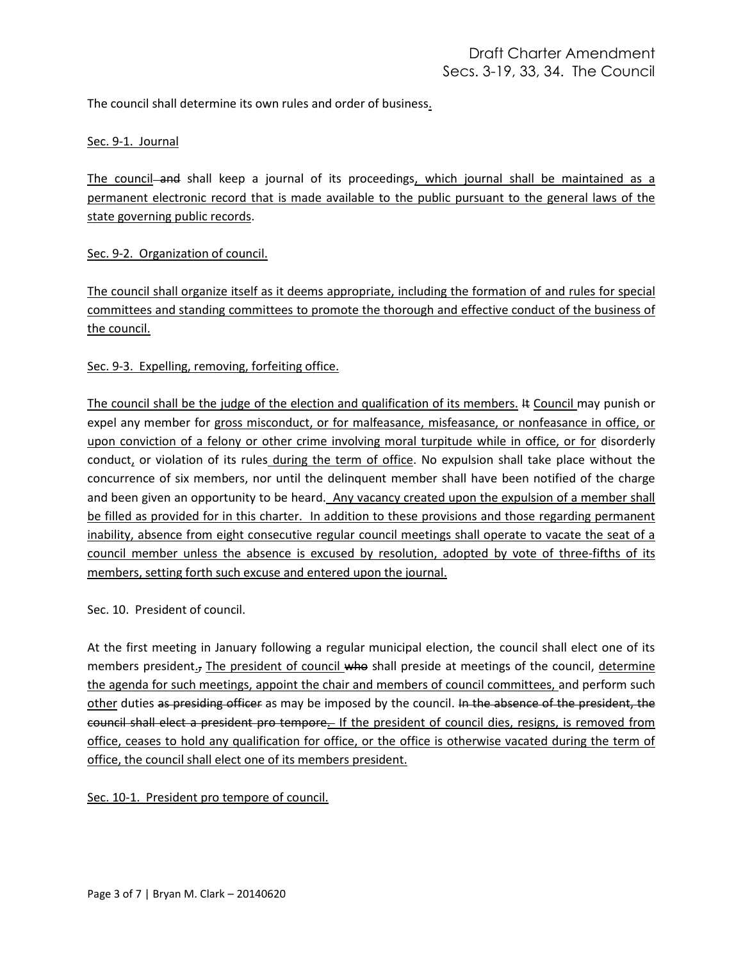The council shall determine its own rules and order of business.

## Sec. 9-1. Journal

The council-and shall keep a journal of its proceedings, which journal shall be maintained as a permanent electronic record that is made available to the public pursuant to the general laws of the state governing public records.

Sec. 9-2. Organization of council.

The council shall organize itself as it deems appropriate, including the formation of and rules for special committees and standing committees to promote the thorough and effective conduct of the business of the council.

## Sec. 9-3. Expelling, removing, forfeiting office.

The council shall be the judge of the election and qualification of its members. It Council may punish or expel any member for gross misconduct, or for malfeasance, misfeasance, or nonfeasance in office, or upon conviction of a felony or other crime involving moral turpitude while in office, or for disorderly conduct, or violation of its rules during the term of office. No expulsion shall take place without the concurrence of six members, nor until the delinquent member shall have been notified of the charge and been given an opportunity to be heard. Any vacancy created upon the expulsion of a member shall be filled as provided for in this charter. In addition to these provisions and those regarding permanent inability, absence from eight consecutive regular council meetings shall operate to vacate the seat of a council member unless the absence is excused by resolution, adopted by vote of three-fifths of its members, setting forth such excuse and entered upon the journal.

Sec. 10. President of council.

At the first meeting in January following a regular municipal election, the council shall elect one of its members president.<sub>5</sub> The president of council who shall preside at meetings of the council, determine the agenda for such meetings, appoint the chair and members of council committees, and perform such other duties as presiding officer as may be imposed by the council. In the absence of the president, the council shall elect a president pro tempore. If the president of council dies, resigns, is removed from office, ceases to hold any qualification for office, or the office is otherwise vacated during the term of office, the council shall elect one of its members president.

Sec. 10-1. President pro tempore of council.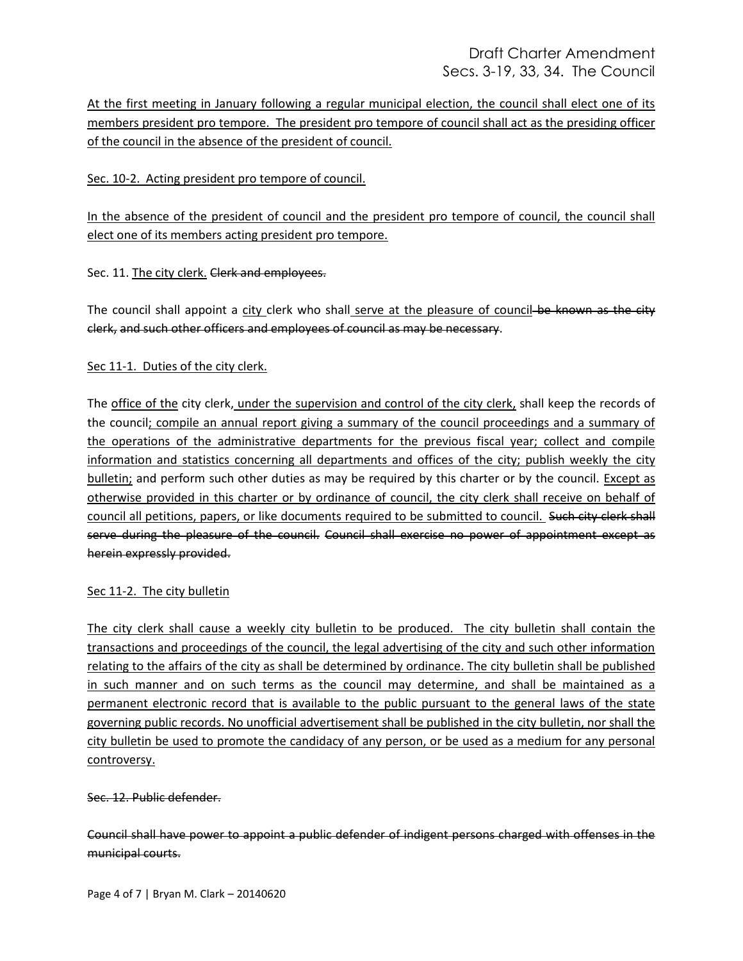# Draft Charter Amendment Secs. 3-19, 33, 34. The Council

At the first meeting in January following a regular municipal election, the council shall elect one of its members president pro tempore. The president pro tempore of council shall act as the presiding officer of the council in the absence of the president of council.

## Sec. 10-2. Acting president pro tempore of council.

In the absence of the president of council and the president pro tempore of council, the council shall elect one of its members acting president pro tempore.

## Sec. 11. The city clerk. Clerk and employees.

The council shall appoint a city clerk who shall serve at the pleasure of council-be known as the city clerk, and such other officers and employees of council as may be necessary.

## Sec 11-1. Duties of the city clerk.

The office of the city clerk, under the supervision and control of the city clerk, shall keep the records of the council; compile an annual report giving a summary of the council proceedings and a summary of the operations of the administrative departments for the previous fiscal year; collect and compile information and statistics concerning all departments and offices of the city; publish weekly the city bulletin; and perform such other duties as may be required by this charter or by the council. Except as otherwise provided in this charter or by ordinance of council, the city clerk shall receive on behalf of council all petitions, papers, or like documents required to be submitted to council. Such city clerk shall serve during the pleasure of the council. Council shall exercise no power of appointment except as herein expressly provided.

## Sec 11-2. The city bulletin

The city clerk shall cause a weekly city bulletin to be produced. The city bulletin shall contain the transactions and proceedings of the council, the legal advertising of the city and such other information relating to the affairs of the city as shall be determined by ordinance. The city bulletin shall be published in such manner and on such terms as the council may determine, and shall be maintained as a permanent electronic record that is available to the public pursuant to the general laws of the state governing public records. No unofficial advertisement shall be published in the city bulletin, nor shall the city bulletin be used to promote the candidacy of any person, or be used as a medium for any personal controversy.

## Sec. 12. Public defender.

Council shall have power to appoint a public defender of indigent persons charged with offenses in the municipal courts.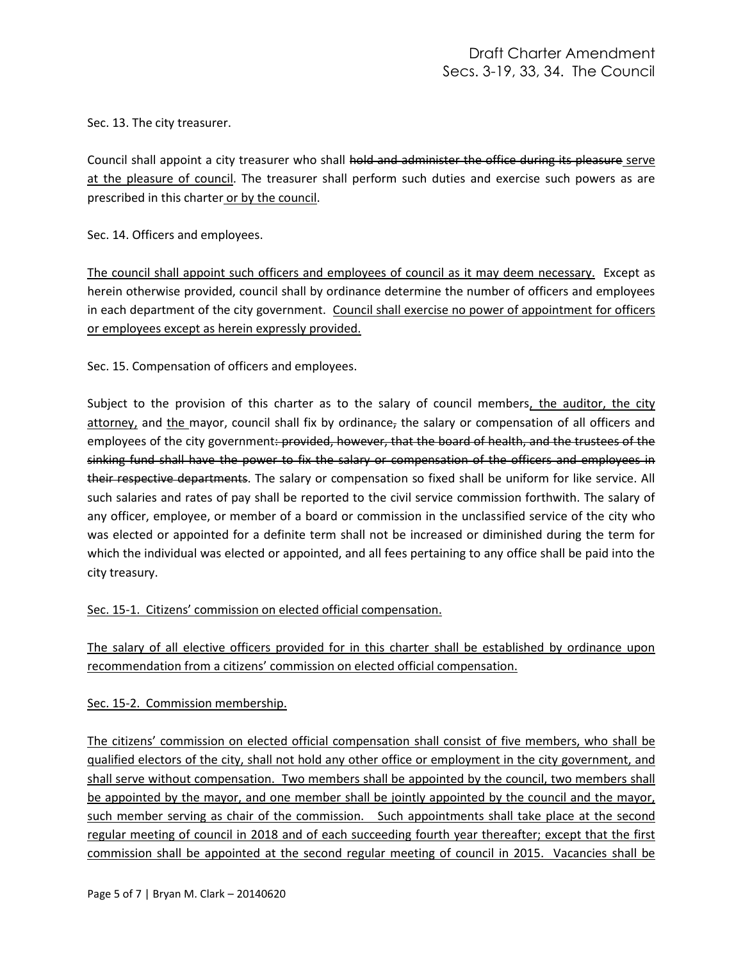Sec. 13. The city treasurer.

Council shall appoint a city treasurer who shall hold and administer the office during its pleasure serve at the pleasure of council. The treasurer shall perform such duties and exercise such powers as are prescribed in this charter or by the council.

Sec. 14. Officers and employees.

The council shall appoint such officers and employees of council as it may deem necessary. Except as herein otherwise provided, council shall by ordinance determine the number of officers and employees in each department of the city government. Council shall exercise no power of appointment for officers or employees except as herein expressly provided.

Sec. 15. Compensation of officers and employees.

Subject to the provision of this charter as to the salary of council members, the auditor, the city attorney, and the mayor, council shall fix by ordinance, the salary or compensation of all officers and employees of the city government: provided, however, that the board of health, and the trustees of the sinking fund shall have the power to fix the salary or compensation of the officers and employees in their respective departments. The salary or compensation so fixed shall be uniform for like service. All such salaries and rates of pay shall be reported to the civil service commission forthwith. The salary of any officer, employee, or member of a board or commission in the unclassified service of the city who was elected or appointed for a definite term shall not be increased or diminished during the term for which the individual was elected or appointed, and all fees pertaining to any office shall be paid into the city treasury.

## Sec. 15-1. Citizens' commission on elected official compensation.

The salary of all elective officers provided for in this charter shall be established by ordinance upon recommendation from a citizens' commission on elected official compensation.

Sec. 15-2. Commission membership.

The citizens' commission on elected official compensation shall consist of five members, who shall be qualified electors of the city, shall not hold any other office or employment in the city government, and shall serve without compensation. Two members shall be appointed by the council, two members shall be appointed by the mayor, and one member shall be jointly appointed by the council and the mayor, such member serving as chair of the commission. Such appointments shall take place at the second regular meeting of council in 2018 and of each succeeding fourth year thereafter; except that the first commission shall be appointed at the second regular meeting of council in 2015. Vacancies shall be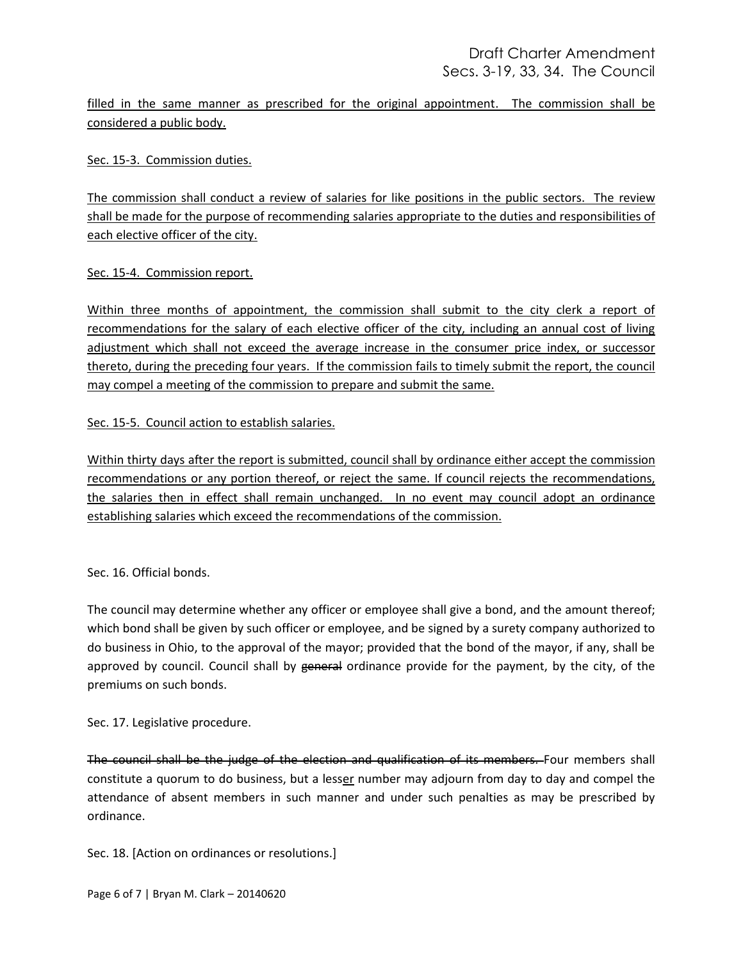filled in the same manner as prescribed for the original appointment. The commission shall be considered a public body.

Sec. 15-3. Commission duties.

The commission shall conduct a review of salaries for like positions in the public sectors. The review shall be made for the purpose of recommending salaries appropriate to the duties and responsibilities of each elective officer of the city.

Sec. 15-4. Commission report.

Within three months of appointment, the commission shall submit to the city clerk a report of recommendations for the salary of each elective officer of the city, including an annual cost of living adjustment which shall not exceed the average increase in the consumer price index, or successor thereto, during the preceding four years. If the commission fails to timely submit the report, the council may compel a meeting of the commission to prepare and submit the same.

Sec. 15-5. Council action to establish salaries.

Within thirty days after the report is submitted, council shall by ordinance either accept the commission recommendations or any portion thereof, or reject the same. If council rejects the recommendations, the salaries then in effect shall remain unchanged. In no event may council adopt an ordinance establishing salaries which exceed the recommendations of the commission.

Sec. 16. Official bonds.

The council may determine whether any officer or employee shall give a bond, and the amount thereof; which bond shall be given by such officer or employee, and be signed by a surety company authorized to do business in Ohio, to the approval of the mayor; provided that the bond of the mayor, if any, shall be approved by council. Council shall by general ordinance provide for the payment, by the city, of the premiums on such bonds.

Sec. 17. Legislative procedure.

The council shall be the judge of the election and qualification of its members. Four members shall constitute a quorum to do business, but a lesser number may adjourn from day to day and compel the attendance of absent members in such manner and under such penalties as may be prescribed by ordinance.

Sec. 18. [Action on ordinances or resolutions.]